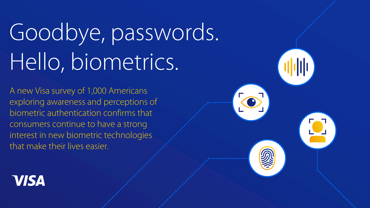# Goodbye, passwords. Hello, biometrics.

A new Visa survey of 1,000 Americans exploring awareness and perceptions of biometric authentication confirms that consumers continue to have a strong interest in new biometric technologies that make their lives easier.



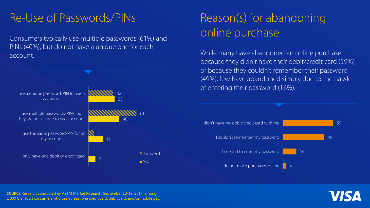### Re-Use of Passwords/PINs

Consumers typically use multiple passwords (61%) and PINs (40%), but do not have a unique one for each account.



## Reason(s) for abandoning online purchase

While many have abandoned an online purchase because they didn't have their debit/credit card (59%) or because they couldn't remember their password (49%), few have abandoned simply due to the hassle of entering their password (16%).



**SOURCE** Research conducted by AYTM Market Research, September 12-19, 2017, among 1,000 U.S. adult consumers who use at least one credit card, debit card, and/or mobile pay.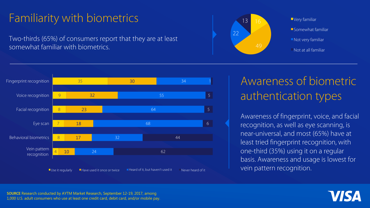## Familiarity with biometrics

Two-thirds (65%) of consumers report that they are at least somewhat familiar with biometrics.



**Somewhat familiar** Not very familiar Not at all familiar



## Awareness of biometric authentication types

Awareness of fingerprint, voice, and facial recognition, as well as eye scanning, is near-universal, and most (65%) have at least tried fingerprint recognition, with one-third (35%) using it on a regular basis. Awareness and usage is lowest for vein pattern recognition.

**SOURCE** Research conducted by AYTM Market Research, September 12-19, 2017, among 1,000 U.S. adult consumers who use at least one credit card, debit card, and/or mobile pay.

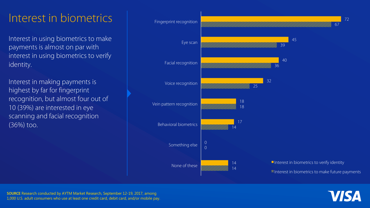#### Interest in biometrics

Interest in using biometrics to make payments is almost on par with interest in using biometrics to verify identity.

Interest in making payments is highest by far for fingerprint recognition, but almost four out of 10 (39%) are interested in eye scanning and facial recognition (36%) too.



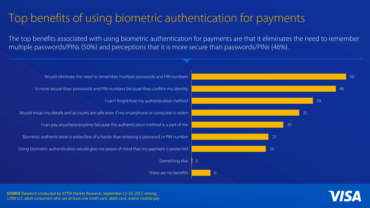## Top benefits of using biometric authentication for payments

The top benefits associated with using biometric authentication for payments are that it eliminates the need to remember multiple passwords/PINs (50%) and perceptions that it is more secure than passwords/PINs (46%).

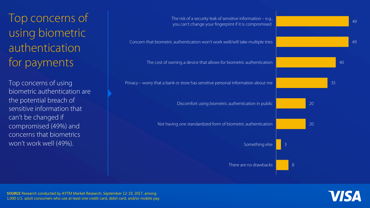Top concerns of using biometric authentication for payments

Top concerns of using biometric authentication are the potential breach of sensitive information that can't be changed if compromised (49%) and concerns that biometrics won't work well (49%).



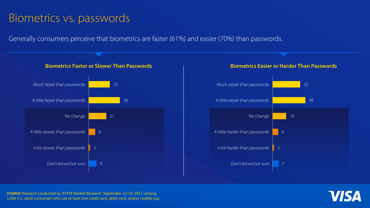#### Biometrics vs. passwords

Generally consumers perceive that biometrics are faster (61%) and easier (70%) than passwords.





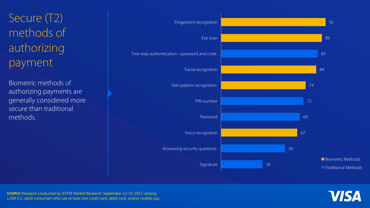Secure (T2) methods of authorizing payment

Biometric methods of authorizing payments are generally considered more secure than traditional methods.